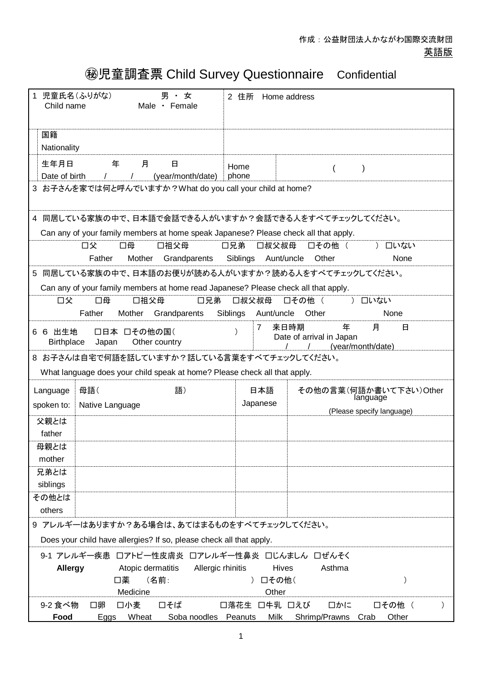## ㊙児童調査票 Child Survey Questionnaire Confidential

| 男・女<br>児童氏名(ふりがな)<br>$\mathbf{1}$<br>Male · Female<br>Child name                                                         | 2 住所<br>Home address                                                                                          |  |  |  |
|--------------------------------------------------------------------------------------------------------------------------|---------------------------------------------------------------------------------------------------------------|--|--|--|
| 国籍<br>Nationality                                                                                                        |                                                                                                               |  |  |  |
| 生年月日<br>年<br>月<br>日<br>Date of birth<br>(year/month/date)<br>$\prime$                                                    | Home<br>$\overline{(}$<br>$\lambda$<br>phone                                                                  |  |  |  |
| 3 お子さんを家では何と呼んでいますか?What do you call your child at home?                                                                 |                                                                                                               |  |  |  |
| Can any of your family members at home speak Japanese? Please check all that apply.                                      | 4 同居している家族の中で、日本語で会話できる人がいますか?会話できる人をすべてチェックしてください。                                                           |  |  |  |
| 口父<br>口母<br>口祖父母<br>Father<br>Mother<br>Grandparents                                                                     | □その他 (<br>口兄弟<br>口叔父叔母<br>口いない<br>$\lambda$<br>Siblings Aunt/uncle Other<br>None                              |  |  |  |
| Can any of your family members at home read Japanese? Please check all that apply.                                       | 5 同居している家族の中で、日本語のお便りが読める人がいますか?読める人をすべてチェックしてください。                                                           |  |  |  |
| 口父<br>口母<br>口祖父母<br>Father<br>Mother<br>Grandparents                                                                     | 口兄弟<br>口叔父叔母<br>) 口いない<br>□その他 (<br>Siblings<br>None<br>Aunt/uncle<br>Other                                   |  |  |  |
| 6 6 出生地<br>□日本 □その他の国(<br>Other country<br><b>Birthplace</b><br>Japan                                                    | 来日時期<br>月<br>年<br>$\overline{7}$<br>日<br>Date of arrival in Japan<br>(year/month/date)                        |  |  |  |
| 8 お子さんは自宅で何語を話していますか?話している言葉をすべてチェックしてください。<br>What language does your child speak at home? Please check all that apply. |                                                                                                               |  |  |  |
| 母語(<br>語)<br>Language<br>spoken to:<br>Native Language                                                                   | その他の言葉(何語か書いて下さい)Other<br>日本語<br>language<br>Japanese<br>(Please specify language)                            |  |  |  |
| 父親とは<br>father                                                                                                           |                                                                                                               |  |  |  |
| 母親とは<br>mother                                                                                                           |                                                                                                               |  |  |  |
| 兄弟とは<br>siblings                                                                                                         |                                                                                                               |  |  |  |
| その他とは<br>others                                                                                                          |                                                                                                               |  |  |  |
| 9 アレルギーはありますか?ある場合は、あてはまるものをすべてチェックしてください。<br>Does your child have allergies? If so, please check all that apply.        |                                                                                                               |  |  |  |
| 9-1 アレルギー疾患 ロアトピー性皮膚炎 ロアレルギー性鼻炎 口じんましん 口ぜんそく<br><b>Allergy</b><br>Atopic dermatitis<br>口薬<br>(名前:<br>Medicine            | Asthma<br>Allergic rhinitis<br><b>Hives</b><br>) 口その他(<br>Other                                               |  |  |  |
| 9-2 食べ物<br>口卵<br>口小麦<br>口そば<br>Wheat<br>Food<br>Eggs                                                                     | 口落花生 口牛乳 口えび<br>□かに<br>□その他 (<br>$\mathcal{C}$<br>Soba noodles Peanuts<br>Milk<br>Shrimp/Prawns Crab<br>Other |  |  |  |